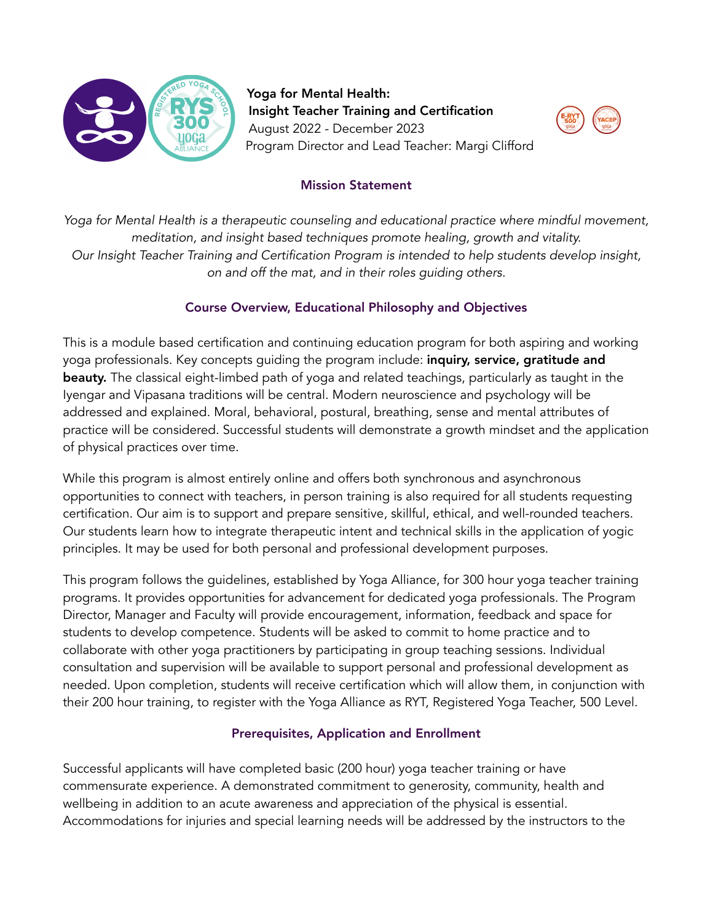

Yoga for Mental Health: Insight Teacher Training and Certification August 2022 - December 2023 Program Director and Lead Teacher: Margi Clifford



## Mission Statement

*Yoga for Mental Health is a therapeutic counseling and educational practice where mindful movement, meditation, and insight based techniques promote healing, growth and vitality. Our Insight Teacher Training and Certification Program is intended to help students develop insight, on and off the mat, and in their roles guiding others.* 

## Course Overview, Educational Philosophy and Objectives

This is a module based certification and continuing education program for both aspiring and working yoga professionals. Key concepts quiding the program include: **inquiry, service, gratitude and** beauty. The classical eight-limbed path of yoga and related teachings, particularly as taught in the Iyengar and Vipasana traditions will be central. Modern neuroscience and psychology will be addressed and explained. Moral, behavioral, postural, breathing, sense and mental attributes of practice will be considered. Successful students will demonstrate a growth mindset and the application of physical practices over time.

While this program is almost entirely online and offers both synchronous and asynchronous opportunities to connect with teachers, in person training is also required for all students requesting certification. Our aim is to support and prepare sensitive, skillful, ethical, and well-rounded teachers. Our students learn how to integrate therapeutic intent and technical skills in the application of yogic principles. It may be used for both personal and professional development purposes.

This program follows the guidelines, established by Yoga Alliance, for 300 hour yoga teacher training programs. It provides opportunities for advancement for dedicated yoga professionals. The Program Director, Manager and Faculty will provide encouragement, information, feedback and space for students to develop competence. Students will be asked to commit to home practice and to collaborate with other yoga practitioners by participating in group teaching sessions. Individual consultation and supervision will be available to support personal and professional development as needed. Upon completion, students will receive certification which will allow them, in conjunction with their 200 hour training, to register with the Yoga Alliance as RYT, Registered Yoga Teacher, 500 Level.

## Prerequisites, Application and Enrollment

Successful applicants will have completed basic (200 hour) yoga teacher training or have commensurate experience. A demonstrated commitment to generosity, community, health and wellbeing in addition to an acute awareness and appreciation of the physical is essential. Accommodations for injuries and special learning needs will be addressed by the instructors to the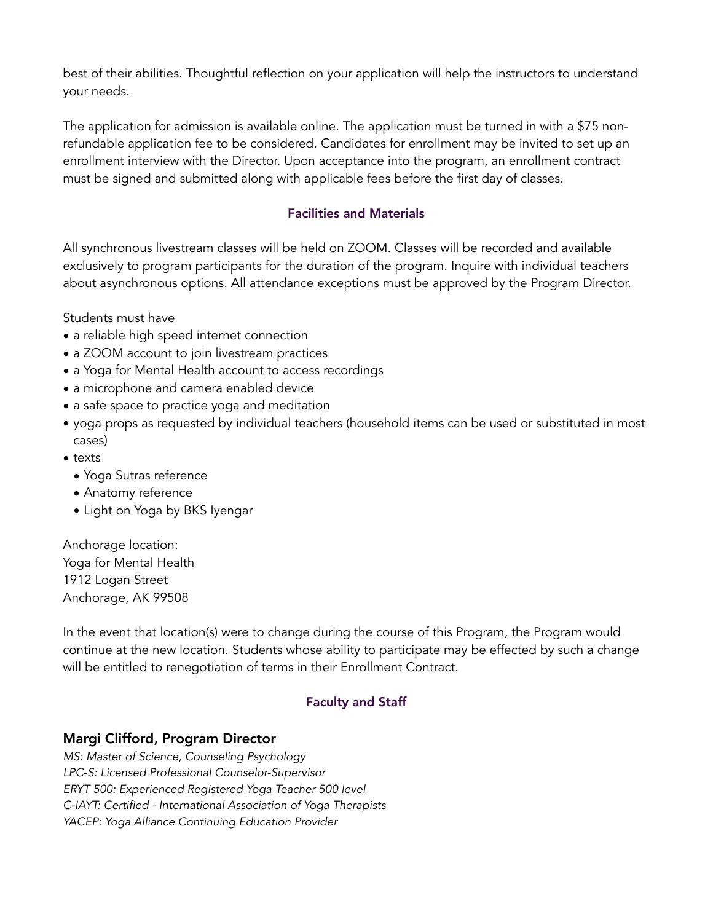best of their abilities. Thoughtful reflection on your application will help the instructors to understand your needs.

The application for admission is available online. The application must be turned in with a \$75 nonrefundable application fee to be considered. Candidates for enrollment may be invited to set up an enrollment interview with the Director. Upon acceptance into the program, an enrollment contract must be signed and submitted along with applicable fees before the first day of classes.

#### Facilities and Materials

All synchronous livestream classes will be held on ZOOM. Classes will be recorded and available exclusively to program participants for the duration of the program. Inquire with individual teachers about asynchronous options. All attendance exceptions must be approved by the Program Director.

Students must have

- a reliable high speed internet connection
- a ZOOM account to join livestream practices
- a Yoga for Mental Health account to access recordings
- a microphone and camera enabled device
- a safe space to practice yoga and meditation
- yoga props as requested by individual teachers (household items can be used or substituted in most cases)
- texts
	- Yoga Sutras reference
	- Anatomy reference
	- Light on Yoga by BKS Iyengar

Anchorage location: Yoga for Mental Health 1912 Logan Street Anchorage, AK 99508

In the event that location(s) were to change during the course of this Program, the Program would continue at the new location. Students whose ability to participate may be effected by such a change will be entitled to renegotiation of terms in their Enrollment Contract.

### Faculty and Staff

### Margi Clifford, Program Director

*MS: Master of Science, Counseling Psychology LPC-S: Licensed Professional Counselor-Supervisor ERYT 500: Experienced Registered Yoga Teacher 500 level C-IAYT: Certified - International Association of Yoga Therapists YACEP: Yoga Alliance Continuing Education Provider*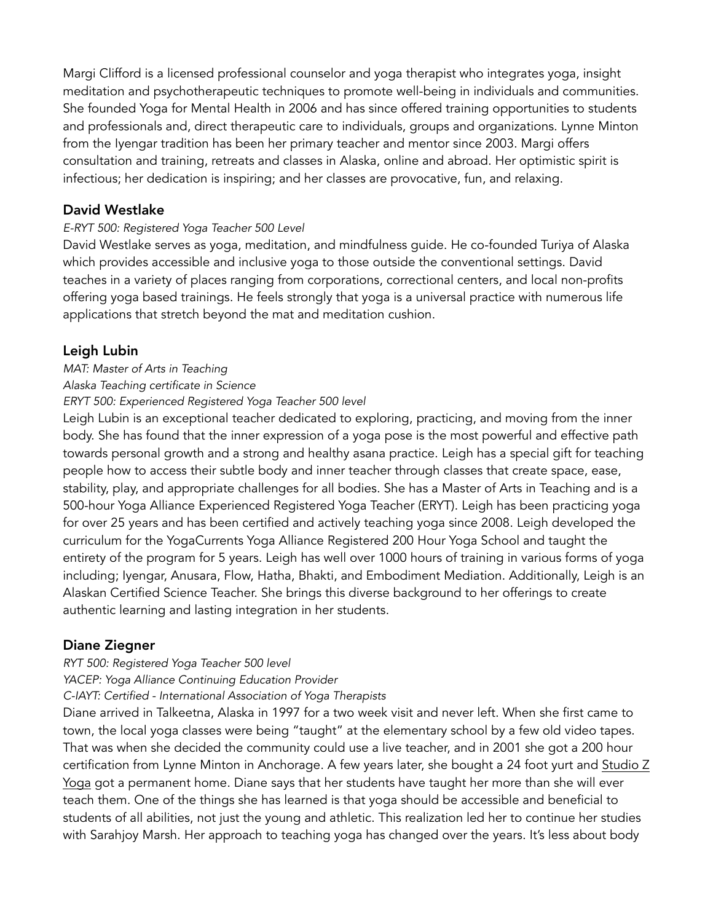Margi Clifford is a licensed professional counselor and yoga therapist who integrates yoga, insight meditation and psychotherapeutic techniques to promote well-being in individuals and communities. She founded Yoga for Mental Health in 2006 and has since offered training opportunities to students and professionals and, direct therapeutic care to individuals, groups and organizations. Lynne Minton from the Iyengar tradition has been her primary teacher and mentor since 2003. Margi offers consultation and training, retreats and classes in Alaska, online and abroad. Her optimistic spirit is infectious; her dedication is inspiring; and her classes are provocative, fun, and relaxing.

## David Westlake

#### *E-RYT 500: Registered Yoga Teacher 500 Level*

David Westlake serves as yoga, meditation, and mindfulness guide. He co-founded Turiya of Alaska which provides accessible and inclusive yoga to those outside the conventional settings. David teaches in a variety of places ranging from corporations, correctional centers, and local non-profits offering yoga based trainings. He feels strongly that yoga is a universal practice with numerous life applications that stretch beyond the mat and meditation cushion.

## Leigh Lubin

#### *MAT: Master of Arts in Teaching*

#### *Alaska Teaching certificate in Science*

*ERYT 500: Experienced Registered Yoga Teacher 500 level* 

Leigh Lubin is an exceptional teacher dedicated to exploring, practicing, and moving from the inner body. She has found that the inner expression of a yoga pose is the most powerful and effective path towards personal growth and a strong and healthy asana practice. Leigh has a special gift for teaching people how to access their subtle body and inner teacher through classes that create space, ease, stability, play, and appropriate challenges for all bodies. She has a Master of Arts in Teaching and is a 500-hour Yoga Alliance Experienced Registered Yoga Teacher (ERYT). Leigh has been practicing yoga for over 25 years and has been certified and actively teaching yoga since 2008. Leigh developed the curriculum for the YogaCurrents Yoga Alliance Registered 200 Hour Yoga School and taught the entirety of the program for 5 years. Leigh has well over 1000 hours of training in various forms of yoga including; Iyengar, Anusara, Flow, Hatha, Bhakti, and Embodiment Mediation. Additionally, Leigh is an Alaskan Certified Science Teacher. She brings this diverse background to her offerings to create authentic learning and lasting integration in her students.

### Diane Ziegner

#### *RYT 500: Registered Yoga Teacher 500 level*

*YACEP: Yoga Alliance Continuing Education Provider* 

#### *C-IAYT: Certified - International Association of Yoga Therapists*

Diane arrived in Talkeetna, Alaska in 1997 for a two week visit and never left. When she first came to town, the local yoga classes were being "taught" at the elementary school by a few old video tapes. That was when she decided the community could use a live teacher, and in 2001 she got a 200 hour certification from Lynne Minton in Anchorage. A few years later, she bought a 24 foot yurt and [Studio Z](http://talkeetnayoga.net)  [Yoga](http://talkeetnayoga.net) got a permanent home. Diane says that her students have taught her more than she will ever teach them. One of the things she has learned is that yoga should be accessible and beneficial to students of all abilities, not just the young and athletic. This realization led her to continue her studies with Sarahjoy Marsh. Her approach to teaching yoga has changed over the years. It's less about body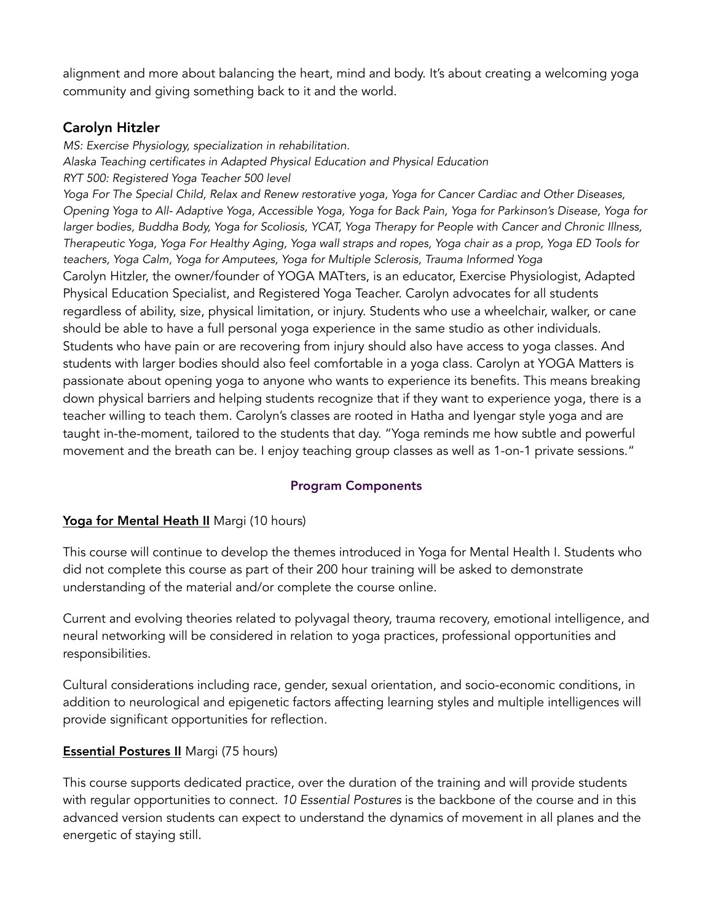alignment and more about balancing the heart, mind and body. It's about creating a welcoming yoga community and giving something back to it and the world.

# Carolyn Hitzler

*MS: Exercise Physiology, specialization in rehabilitation. Alaska Teaching certificates in Adapted Physical Education and Physical Education RYT 500: Registered Yoga Teacher 500 level Yoga For The Special Child, Relax and Renew restorative yoga, Yoga for Cancer Cardiac and Other Diseases, Opening Yoga to All- Adaptive Yoga, Accessible Yoga, Yoga for Back Pain, Yoga for Parkinson's Disease, Yoga for* 

*larger bodies, Buddha Body, Yoga for Scoliosis, YCAT, Yoga Therapy for People with Cancer and Chronic Illness, Therapeutic Yoga, Yoga For Healthy Aging, Yoga wall straps and ropes, Yoga chair as a prop, Yoga ED Tools for teachers, Yoga Calm, Yoga for Amputees, Yoga for Multiple Sclerosis, Trauma Informed Yoga*  Carolyn Hitzler, the owner/founder of YOGA MATters, is an educator, Exercise Physiologist, Adapted Physical Education Specialist, and Registered Yoga Teacher. Carolyn advocates for all students regardless of ability, size, physical limitation, or injury. Students who use a wheelchair, walker, or cane should be able to have a full personal yoga experience in the same studio as other individuals. Students who have pain or are recovering from injury should also have access to yoga classes. And students with larger bodies should also feel comfortable in a yoga class. Carolyn at YOGA Matters is passionate about opening yoga to anyone who wants to experience its benefits. This means breaking down physical barriers and helping students recognize that if they want to experience yoga, there is a teacher willing to teach them. Carolyn's classes are rooted in Hatha and Iyengar style yoga and are taught in-the-moment, tailored to the students that day. "Yoga reminds me how subtle and powerful movement and the breath can be. I enjoy teaching group classes as well as 1-on-1 private sessions."

### Program Components

### Yoga for Mental Heath II Margi (10 hours)

This course will continue to develop the themes introduced in Yoga for Mental Health I. Students who did not complete this course as part of their 200 hour training will be asked to demonstrate understanding of the material and/or complete the course online.

Current and evolving theories related to polyvagal theory, trauma recovery, emotional intelligence, and neural networking will be considered in relation to yoga practices, professional opportunities and responsibilities.

Cultural considerations including race, gender, sexual orientation, and socio-economic conditions, in addition to neurological and epigenetic factors affecting learning styles and multiple intelligences will provide significant opportunities for reflection.

## Essential Postures II Margi (75 hours)

This course supports dedicated practice, over the duration of the training and will provide students with regular opportunities to connect. *10 Essential Postures* is the backbone of the course and in this advanced version students can expect to understand the dynamics of movement in all planes and the energetic of staying still.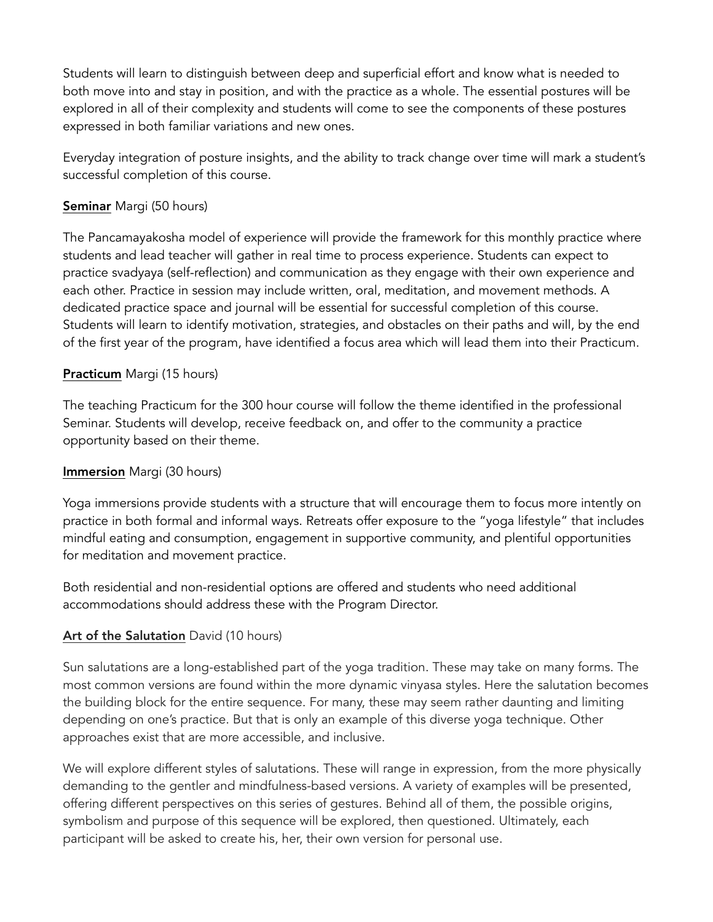Students will learn to distinguish between deep and superficial effort and know what is needed to both move into and stay in position, and with the practice as a whole. The essential postures will be explored in all of their complexity and students will come to see the components of these postures expressed in both familiar variations and new ones.

Everyday integration of posture insights, and the ability to track change over time will mark a student's successful completion of this course.

## Seminar Margi (50 hours)

The Pancamayakosha model of experience will provide the framework for this monthly practice where students and lead teacher will gather in real time to process experience. Students can expect to practice svadyaya (self-reflection) and communication as they engage with their own experience and each other. Practice in session may include written, oral, meditation, and movement methods. A dedicated practice space and journal will be essential for successful completion of this course. Students will learn to identify motivation, strategies, and obstacles on their paths and will, by the end of the first year of the program, have identified a focus area which will lead them into their Practicum.

### Practicum Margi (15 hours)

The teaching Practicum for the 300 hour course will follow the theme identified in the professional Seminar. Students will develop, receive feedback on, and offer to the community a practice opportunity based on their theme.

### Immersion Margi (30 hours)

Yoga immersions provide students with a structure that will encourage them to focus more intently on practice in both formal and informal ways. Retreats offer exposure to the "yoga lifestyle" that includes mindful eating and consumption, engagement in supportive community, and plentiful opportunities for meditation and movement practice.

Both residential and non-residential options are offered and students who need additional accommodations should address these with the Program Director.

## Art of the Salutation David (10 hours)

Sun salutations are a long-established part of the yoga tradition. These may take on many forms. The most common versions are found within the more dynamic vinyasa styles. Here the salutation becomes the building block for the entire sequence. For many, these may seem rather daunting and limiting depending on one's practice. But that is only an example of this diverse yoga technique. Other approaches exist that are more accessible, and inclusive.

We will explore different styles of salutations. These will range in expression, from the more physically demanding to the gentler and mindfulness-based versions. A variety of examples will be presented, offering different perspectives on this series of gestures. Behind all of them, the possible origins, symbolism and purpose of this sequence will be explored, then questioned. Ultimately, each participant will be asked to create his, her, their own version for personal use.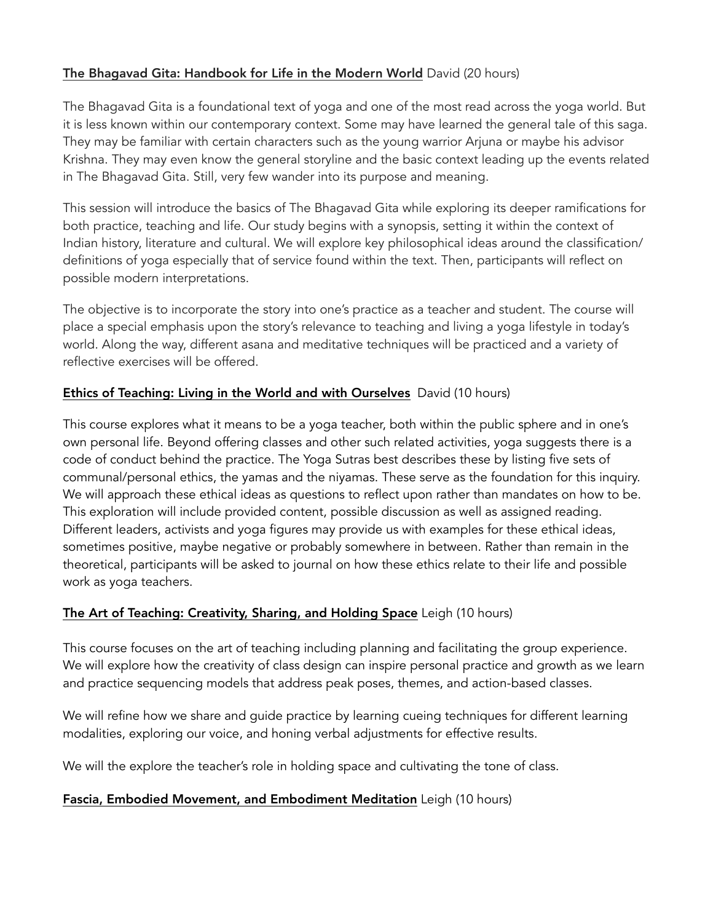## The Bhagavad Gita: Handbook for Life in the Modern World David (20 hours)

The Bhagavad Gita is a foundational text of yoga and one of the most read across the yoga world. But it is less known within our contemporary context. Some may have learned the general tale of this saga. They may be familiar with certain characters such as the young warrior Arjuna or maybe his advisor Krishna. They may even know the general storyline and the basic context leading up the events related in The Bhagavad Gita. Still, very few wander into its purpose and meaning.

This session will introduce the basics of The Bhagavad Gita while exploring its deeper ramifications for both practice, teaching and life. Our study begins with a synopsis, setting it within the context of Indian history, literature and cultural. We will explore key philosophical ideas around the classification/ definitions of yoga especially that of service found within the text. Then, participants will reflect on possible modern interpretations.

The objective is to incorporate the story into one's practice as a teacher and student. The course will place a special emphasis upon the story's relevance to teaching and living a yoga lifestyle in today's world. Along the way, different asana and meditative techniques will be practiced and a variety of reflective exercises will be offered.

### Ethics of Teaching: Living in the World and with Ourselves David (10 hours)

This course explores what it means to be a yoga teacher, both within the public sphere and in one's own personal life. Beyond offering classes and other such related activities, yoga suggests there is a code of conduct behind the practice. The Yoga Sutras best describes these by listing five sets of communal/personal ethics, the yamas and the niyamas. These serve as the foundation for this inquiry. We will approach these ethical ideas as questions to reflect upon rather than mandates on how to be. This exploration will include provided content, possible discussion as well as assigned reading. Different leaders, activists and yoga figures may provide us with examples for these ethical ideas, sometimes positive, maybe negative or probably somewhere in between. Rather than remain in the theoretical, participants will be asked to journal on how these ethics relate to their life and possible work as yoga teachers.

### The Art of Teaching: Creativity, Sharing, and Holding Space Leigh (10 hours)

This course focuses on the art of teaching including planning and facilitating the group experience. We will explore how the creativity of class design can inspire personal practice and growth as we learn and practice sequencing models that address peak poses, themes, and action-based classes.

We will refine how we share and guide practice by learning cueing techniques for different learning modalities, exploring our voice, and honing verbal adjustments for effective results.

We will the explore the teacher's role in holding space and cultivating the tone of class.

### Fascia, Embodied Movement, and Embodiment Meditation Leigh (10 hours)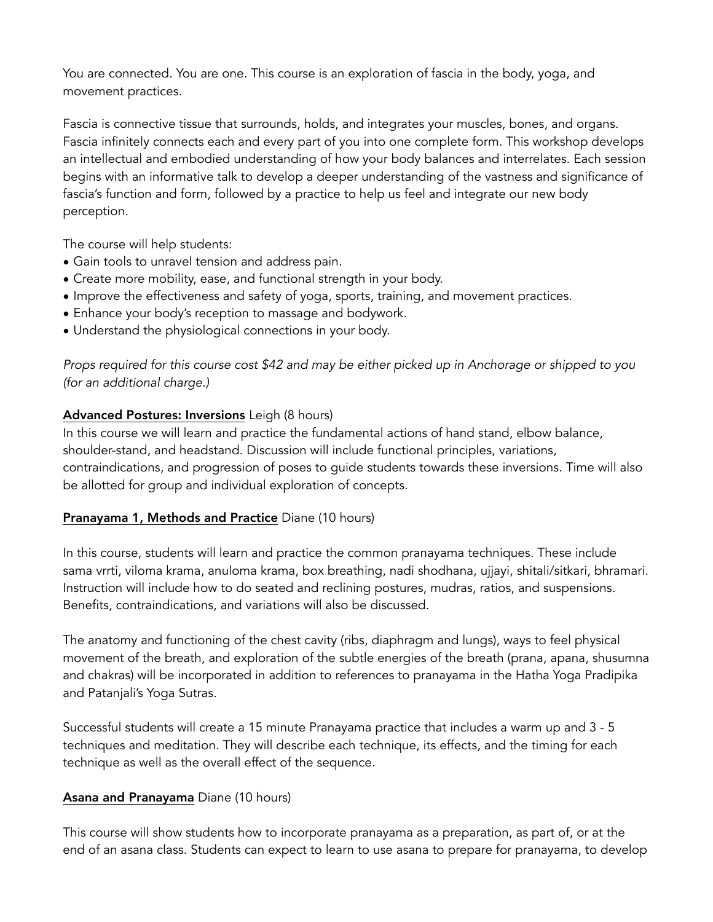You are connected. You are one. This course is an exploration of fascia in the body, yoga, and movement practices.

Fascia is connective tissue that surrounds, holds, and integrates your muscles, bones, and organs. Fascia infinitely connects each and every part of you into one complete form. This workshop develops an intellectual and embodied understanding of how your body balances and interrelates. Each session begins with an informative talk to develop a deeper understanding of the vastness and significance of fascia's function and form, followed by a practice to help us feel and integrate our new body perception.

The course will help students:

- Gain tools to unravel tension and address pain.
- Create more mobility, ease, and functional strength in your body.
- Improve the effectiveness and safety of yoga, sports, training, and movement practices.
- Enhance your body's reception to massage and bodywork.
- Understand the physiological connections in your body.

*Props required for this course cost \$42 and may be either picked up in Anchorage or shipped to you (for an additional charge.)* 

#### Advanced Postures: Inversions Leigh (8 hours)

In this course we will learn and practice the fundamental actions of hand stand, elbow balance, shoulder-stand, and headstand. Discussion will include functional principles, variations, contraindications, and progression of poses to guide students towards these inversions. Time will also be allotted for group and individual exploration of concepts.

### Pranayama 1, Methods and Practice Diane (10 hours)

In this course, students will learn and practice the common pranayama techniques. These include sama vrrti, viloma krama, anuloma krama, box breathing, nadi shodhana, ujjayi, shitali/sitkari, bhramari. Instruction will include how to do seated and reclining postures, mudras, ratios, and suspensions. Benefits, contraindications, and variations will also be discussed.

The anatomy and functioning of the chest cavity (ribs, diaphragm and lungs), ways to feel physical movement of the breath, and exploration of the subtle energies of the breath (prana, apana, shusumna and chakras) will be incorporated in addition to references to pranayama in the Hatha Yoga Pradipika and Patanjali's Yoga Sutras.

Successful students will create a 15 minute Pranayama practice that includes a warm up and 3 - 5 techniques and meditation. They will describe each technique, its effects, and the timing for each technique as well as the overall effect of the sequence.

### Asana and Pranayama Diane (10 hours)

This course will show students how to incorporate pranayama as a preparation, as part of, or at the end of an asana class. Students can expect to learn to use asana to prepare for pranayama, to develop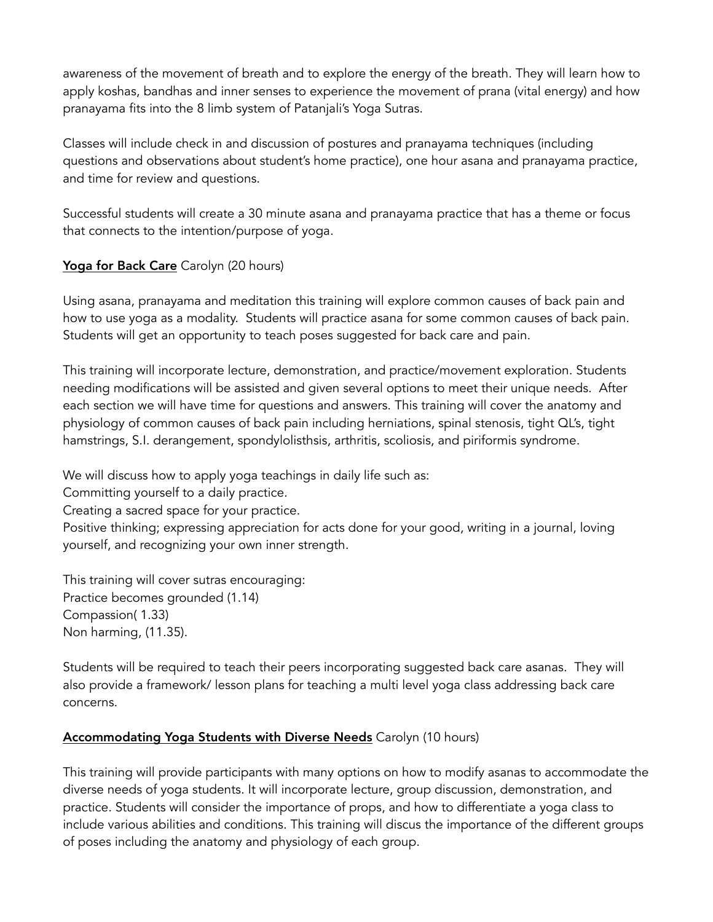awareness of the movement of breath and to explore the energy of the breath. They will learn how to apply koshas, bandhas and inner senses to experience the movement of prana (vital energy) and how pranayama fits into the 8 limb system of Patanjali's Yoga Sutras.

Classes will include check in and discussion of postures and pranayama techniques (including questions and observations about student's home practice), one hour asana and pranayama practice, and time for review and questions.

Successful students will create a 30 minute asana and pranayama practice that has a theme or focus that connects to the intention/purpose of yoga.

# Yoga for Back Care Carolyn (20 hours)

Using asana, pranayama and meditation this training will explore common causes of back pain and how to use yoga as a modality. Students will practice asana for some common causes of back pain. Students will get an opportunity to teach poses suggested for back care and pain.

This training will incorporate lecture, demonstration, and practice/movement exploration. Students needing modifications will be assisted and given several options to meet their unique needs. After each section we will have time for questions and answers. This training will cover the anatomy and physiology of common causes of back pain including herniations, spinal stenosis, tight QL's, tight hamstrings, S.I. derangement, spondylolisthsis, arthritis, scoliosis, and piriformis syndrome.

We will discuss how to apply yoga teachings in daily life such as:

Committing yourself to a daily practice.

Creating a sacred space for your practice.

Positive thinking; expressing appreciation for acts done for your good, writing in a journal, loving yourself, and recognizing your own inner strength.

This training will cover sutras encouraging: Practice becomes grounded (1.14) Compassion( 1.33) Non harming, (11.35).

Students will be required to teach their peers incorporating suggested back care asanas. They will also provide a framework/ lesson plans for teaching a multi level yoga class addressing back care concerns.

### Accommodating Yoga Students with Diverse Needs Carolyn (10 hours)

This training will provide participants with many options on how to modify asanas to accommodate the diverse needs of yoga students. It will incorporate lecture, group discussion, demonstration, and practice. Students will consider the importance of props, and how to differentiate a yoga class to include various abilities and conditions. This training will discus the importance of the different groups of poses including the anatomy and physiology of each group.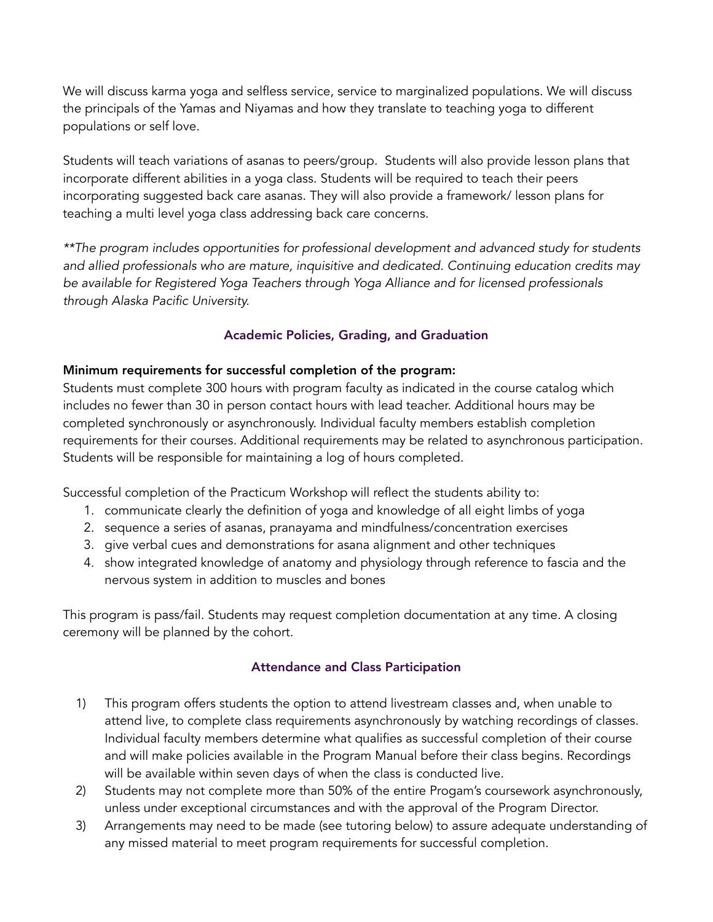We will discuss karma yoga and selfless service, service to marginalized populations. We will discuss the principals of the Yamas and Niyamas and how they translate to teaching yoga to different populations or self love.

Students will teach variations of asanas to peers/group. Students will also provide lesson plans that incorporate different abilities in a yoga class. Students will be required to teach their peers incorporating suggested back care asanas. They will also provide a framework/ lesson plans for teaching a multi level yoga class addressing back care concerns.

*\*\*The program includes opportunities for professional development and advanced study for students and allied professionals who are mature, inquisitive and dedicated. Continuing education credits may be available for Registered Yoga Teachers through Yoga Alliance and for licensed professionals through Alaska Pacific University.* 

## Academic Policies, Grading, and Graduation

## Minimum requirements for successful completion of the program:

Students must complete 300 hours with program faculty as indicated in the course catalog which includes no fewer than 30 in person contact hours with lead teacher. Additional hours may be completed synchronously or asynchronously. Individual faculty members establish completion requirements for their courses. Additional requirements may be related to asynchronous participation. Students will be responsible for maintaining a log of hours completed.

Successful completion of the Practicum Workshop will reflect the students ability to:

- 1. communicate clearly the definition of yoga and knowledge of all eight limbs of yoga
- 2. sequence a series of asanas, pranayama and mindfulness/concentration exercises
- 3. give verbal cues and demonstrations for asana alignment and other techniques
- 4. show integrated knowledge of anatomy and physiology through reference to fascia and the nervous system in addition to muscles and bones

This program is pass/fail. Students may request completion documentation at any time. A closing ceremony will be planned by the cohort.

## Attendance and Class Participation

- 1) This program offers students the option to attend livestream classes and, when unable to attend live, to complete class requirements asynchronously by watching recordings of classes. Individual faculty members determine what qualifies as successful completion of their course and will make policies available in the Program Manual before their class begins. Recordings will be available within seven days of when the class is conducted live.
- 2) Students may not complete more than 50% of the entire Progam's coursework asynchronously, unless under exceptional circumstances and with the approval of the Program Director.
- 3) Arrangements may need to be made (see tutoring below) to assure adequate understanding of any missed material to meet program requirements for successful completion.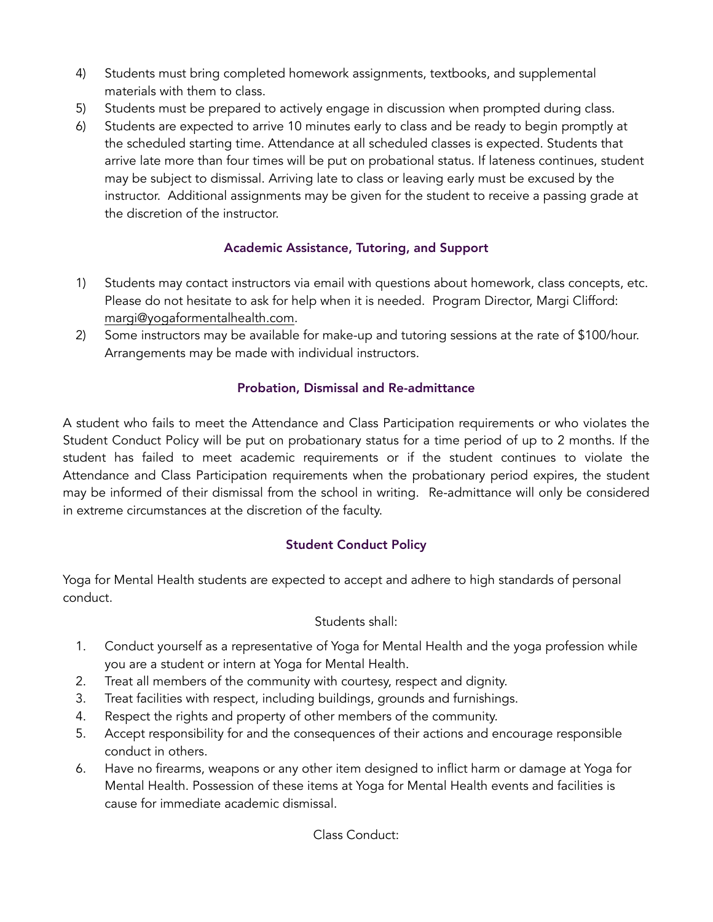- 4) Students must bring completed homework assignments, textbooks, and supplemental materials with them to class.
- 5) Students must be prepared to actively engage in discussion when prompted during class.
- 6) Students are expected to arrive 10 minutes early to class and be ready to begin promptly at the scheduled starting time. Attendance at all scheduled classes is expected. Students that arrive late more than four times will be put on probational status. If lateness continues, student may be subject to dismissal. Arriving late to class or leaving early must be excused by the instructor. Additional assignments may be given for the student to receive a passing grade at the discretion of the instructor.

# Academic Assistance, Tutoring, and Support

- 1) Students may contact instructors via email with questions about homework, class concepts, etc. Please do not hesitate to ask for help when it is needed. Program Director, Margi Clifford: [margi@yogaformentalhealth.com.](mailto:margi@yogaformentalhealth.com)
- 2) Some instructors may be available for make-up and tutoring sessions at the rate of \$100/hour. Arrangements may be made with individual instructors.

# Probation, Dismissal and Re-admittance

A student who fails to meet the Attendance and Class Participation requirements or who violates the Student Conduct Policy will be put on probationary status for a time period of up to 2 months. If the student has failed to meet academic requirements or if the student continues to violate the Attendance and Class Participation requirements when the probationary period expires, the student may be informed of their dismissal from the school in writing. Re-admittance will only be considered in extreme circumstances at the discretion of the faculty.

# Student Conduct Policy

Yoga for Mental Health students are expected to accept and adhere to high standards of personal conduct.

## Students shall:

- 1. Conduct yourself as a representative of Yoga for Mental Health and the yoga profession while you are a student or intern at Yoga for Mental Health.
- 2. Treat all members of the community with courtesy, respect and dignity.
- 3. Treat facilities with respect, including buildings, grounds and furnishings.
- 4. Respect the rights and property of other members of the community.
- 5. Accept responsibility for and the consequences of their actions and encourage responsible conduct in others.
- 6. Have no firearms, weapons or any other item designed to inflict harm or damage at Yoga for Mental Health. Possession of these items at Yoga for Mental Health events and facilities is cause for immediate academic dismissal.

Class Conduct: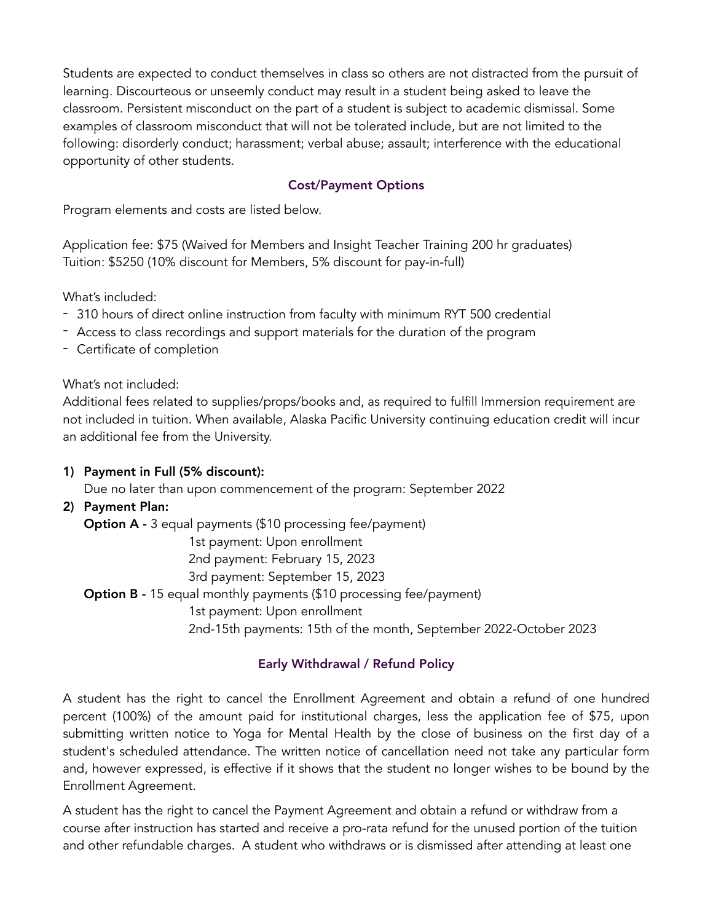Students are expected to conduct themselves in class so others are not distracted from the pursuit of learning. Discourteous or unseemly conduct may result in a student being asked to leave the classroom. Persistent misconduct on the part of a student is subject to academic dismissal. Some examples of classroom misconduct that will not be tolerated include, but are not limited to the following: disorderly conduct; harassment; verbal abuse; assault; interference with the educational opportunity of other students.

### Cost/Payment Options

Program elements and costs are listed below.

Application fee: \$75 (Waived for Members and Insight Teacher Training 200 hr graduates) Tuition: \$5250 (10% discount for Members, 5% discount for pay-in-full)

What's included:

- 310 hours of direct online instruction from faculty with minimum RYT 500 credential
- Access to class recordings and support materials for the duration of the program
- Certificate of completion

What's not included:

Additional fees related to supplies/props/books and, as required to fulfill Immersion requirement are not included in tuition. When available, Alaska Pacific University continuing education credit will incur an additional fee from the University.

1) Payment in Full (5% discount):

Due no later than upon commencement of the program: September 2022

2) Payment Plan:

Option A - 3 equal payments (\$10 processing fee/payment)

1st payment: Upon enrollment

2nd payment: February 15, 2023

3rd payment: September 15, 2023

Option B - 15 equal monthly payments (\$10 processing fee/payment)

1st payment: Upon enrollment

2nd-15th payments: 15th of the month, September 2022-October 2023

### Early Withdrawal / Refund Policy

A student has the right to cancel the Enrollment Agreement and obtain a refund of one hundred percent (100%) of the amount paid for institutional charges, less the application fee of \$75, upon submitting written notice to Yoga for Mental Health by the close of business on the first day of a student's scheduled attendance. The written notice of cancellation need not take any particular form and, however expressed, is effective if it shows that the student no longer wishes to be bound by the Enrollment Agreement.

A student has the right to cancel the Payment Agreement and obtain a refund or withdraw from a course after instruction has started and receive a pro-rata refund for the unused portion of the tuition and other refundable charges. A student who withdraws or is dismissed after attending at least one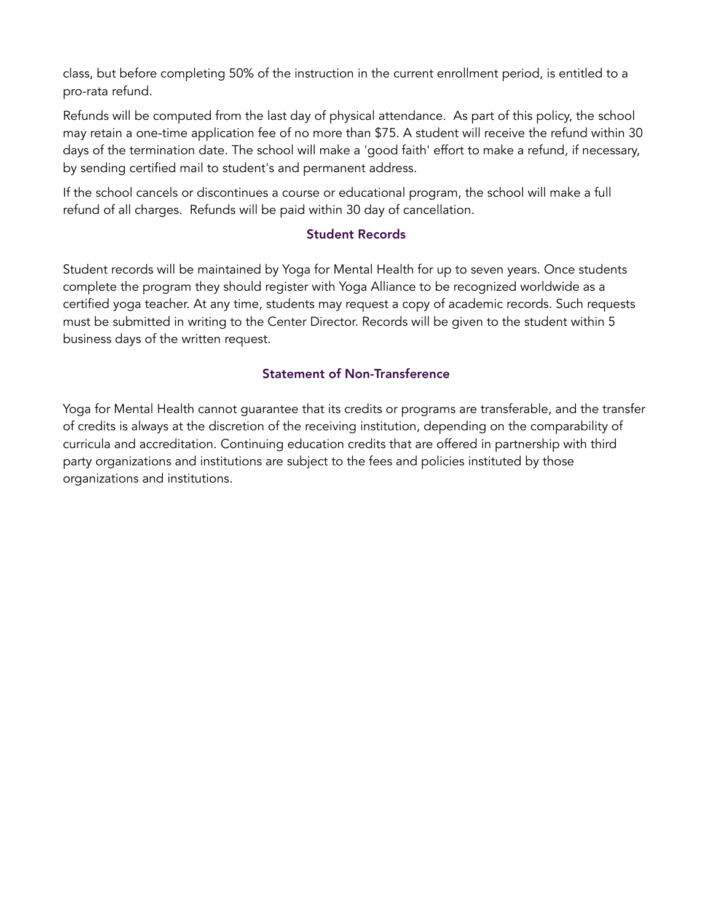class, but before completing 50% of the instruction in the current enrollment period, is entitled to a pro-rata refund.

Refunds will be computed from the last day of physical attendance. As part of this policy, the school may retain a one-time application fee of no more than \$75. A student will receive the refund within 30 days of the termination date. The school will make a 'good faith' effort to make a refund, if necessary, by sending certified mail to student's and permanent address.

If the school cancels or discontinues a course or educational program, the school will make a full refund of all charges. Refunds will be paid within 30 day of cancellation.

#### Student Records

Student records will be maintained by Yoga for Mental Health for up to seven years. Once students complete the program they should register with Yoga Alliance to be recognized worldwide as a certified yoga teacher. At any time, students may request a copy of academic records. Such requests must be submitted in writing to the Center Director. Records will be given to the student within 5 business days of the written request.

### Statement of Non-Transference

Yoga for Mental Health cannot guarantee that its credits or programs are transferable, and the transfer of credits is always at the discretion of the receiving institution, depending on the comparability of curricula and accreditation. Continuing education credits that are offered in partnership with third party organizations and institutions are subject to the fees and policies instituted by those organizations and institutions.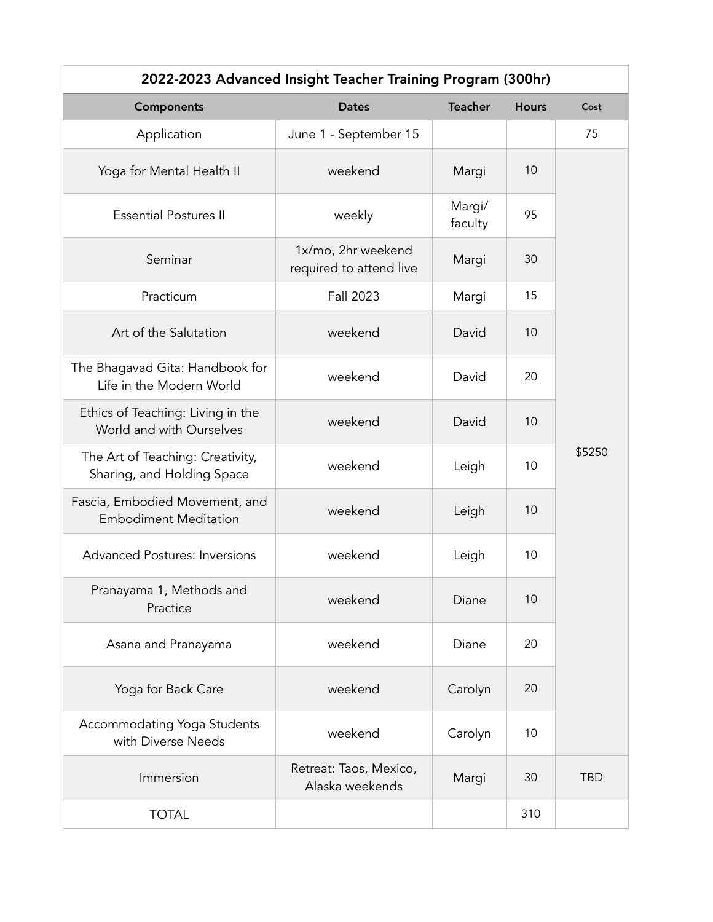| 2022-2023 Advanced Insight Teacher Training Program (300hr)    |                                               |                   |              |            |
|----------------------------------------------------------------|-----------------------------------------------|-------------------|--------------|------------|
| Components                                                     | <b>Dates</b>                                  | <b>Teacher</b>    | <b>Hours</b> | Cost       |
| Application                                                    | June 1 - September 15                         |                   |              | 75         |
| Yoga for Mental Health II                                      | weekend                                       | Margi             | 10           |            |
| <b>Essential Postures II</b>                                   | weekly                                        | Margi/<br>faculty | 95           |            |
| Seminar                                                        | 1x/mo, 2hr weekend<br>required to attend live | Margi             | 30           |            |
| Practicum                                                      | Fall 2023                                     | Margi             | 15           |            |
| Art of the Salutation                                          | weekend                                       | David             | 10           |            |
| The Bhagavad Gita: Handbook for<br>Life in the Modern World    | weekend                                       | David             | 20           |            |
| Ethics of Teaching: Living in the<br>World and with Ourselves  | weekend                                       | David             | 10           |            |
| The Art of Teaching: Creativity,<br>Sharing, and Holding Space | weekend                                       | Leigh             | 10           | \$5250     |
| Fascia, Embodied Movement, and<br><b>Embodiment Meditation</b> | weekend                                       | Leigh             | 10           |            |
| <b>Advanced Postures: Inversions</b>                           | weekend                                       | Leigh             | 10           |            |
| Pranayama 1, Methods and<br>Practice                           | weekend                                       | Diane             | 10           |            |
| Asana and Pranayama                                            | weekend                                       | Diane             | 20           |            |
| Yoga for Back Care                                             | weekend                                       | Carolyn           | 20           |            |
| Accommodating Yoga Students<br>with Diverse Needs              | weekend                                       | Carolyn           | 10           |            |
| Immersion                                                      | Retreat: Taos, Mexico,<br>Alaska weekends     | Margi             | 30           | <b>TBD</b> |
| <b>TOTAL</b>                                                   |                                               |                   | 310          |            |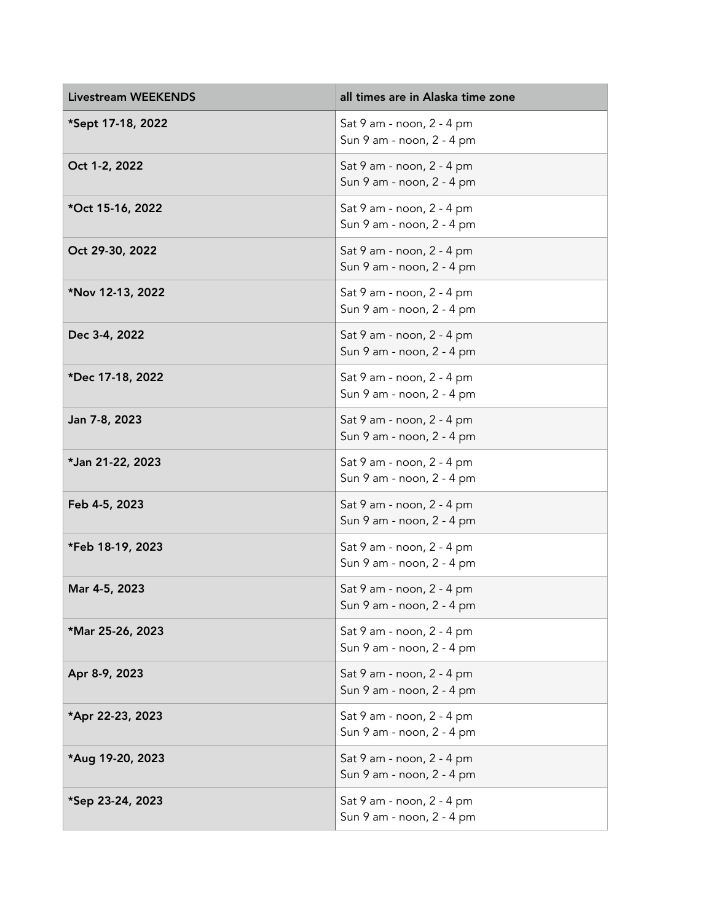| <b>Livestream WEEKENDS</b> | all times are in Alaska time zone                      |
|----------------------------|--------------------------------------------------------|
| *Sept 17-18, 2022          | Sat 9 am - noon, 2 - 4 pm<br>Sun 9 am - noon, 2 - 4 pm |
| Oct 1-2, 2022              | Sat 9 am - noon, 2 - 4 pm<br>Sun 9 am - noon, 2 - 4 pm |
| *Oct 15-16, 2022           | Sat 9 am - noon, 2 - 4 pm<br>Sun 9 am - noon, 2 - 4 pm |
| Oct 29-30, 2022            | Sat 9 am - noon, 2 - 4 pm<br>Sun 9 am - noon, 2 - 4 pm |
| *Nov 12-13, 2022           | Sat 9 am - noon, 2 - 4 pm<br>Sun 9 am - noon, 2 - 4 pm |
| Dec 3-4, 2022              | Sat 9 am - noon, 2 - 4 pm<br>Sun 9 am - noon, 2 - 4 pm |
| *Dec 17-18, 2022           | Sat 9 am - noon, 2 - 4 pm<br>Sun 9 am - noon, 2 - 4 pm |
| Jan 7-8, 2023              | Sat 9 am - noon, 2 - 4 pm<br>Sun 9 am - noon, 2 - 4 pm |
| *Jan 21-22, 2023           | Sat 9 am - noon, 2 - 4 pm<br>Sun 9 am - noon, 2 - 4 pm |
| Feb 4-5, 2023              | Sat 9 am - noon, 2 - 4 pm<br>Sun 9 am - noon, 2 - 4 pm |
| *Feb 18-19, 2023           | Sat 9 am - noon, 2 - 4 pm<br>Sun 9 am - noon, 2 - 4 pm |
| Mar 4-5, 2023              | Sat 9 am - noon, 2 - 4 pm<br>Sun 9 am - noon, 2 - 4 pm |
| *Mar 25-26, 2023           | Sat 9 am - noon, 2 - 4 pm<br>Sun 9 am - noon, 2 - 4 pm |
| Apr 8-9, 2023              | Sat 9 am - noon, 2 - 4 pm<br>Sun 9 am - noon, 2 - 4 pm |
| *Apr 22-23, 2023           | Sat 9 am - noon, 2 - 4 pm<br>Sun 9 am - noon, 2 - 4 pm |
| *Aug 19-20, 2023           | Sat 9 am - noon, 2 - 4 pm<br>Sun 9 am - noon, 2 - 4 pm |
| *Sep 23-24, 2023           | Sat 9 am - noon, 2 - 4 pm<br>Sun 9 am - noon, 2 - 4 pm |